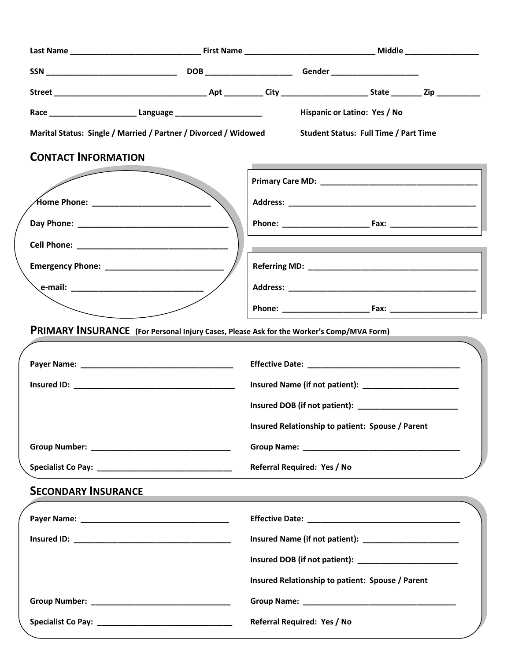|                                                                                                       |                                                                                                                  |                                                  | Hispanic or Latino: Yes / No |                                                                                                                |  |
|-------------------------------------------------------------------------------------------------------|------------------------------------------------------------------------------------------------------------------|--------------------------------------------------|------------------------------|----------------------------------------------------------------------------------------------------------------|--|
| Marital Status: Single / Married / Partner / Divorced / Widowed Student Status: Full Time / Part Time |                                                                                                                  |                                                  |                              |                                                                                                                |  |
| <b>CONTACT INFORMATION</b>                                                                            |                                                                                                                  |                                                  |                              | a sa kacamatan ing Kabupatèn Kabupatèn Kabupatèn Kabupatèn Kabupatèn Kabupatèn Kabupatèn Kabupatèn Kabupatèn K |  |
|                                                                                                       |                                                                                                                  |                                                  |                              |                                                                                                                |  |
|                                                                                                       |                                                                                                                  |                                                  |                              |                                                                                                                |  |
|                                                                                                       |                                                                                                                  |                                                  |                              |                                                                                                                |  |
|                                                                                                       |                                                                                                                  |                                                  |                              | a sa mga bangayon ng mga bangayon ng mga bangayon ng mga bangayon ng mga bangayon ng mga bangayon ng mga banga |  |
|                                                                                                       |                                                                                                                  |                                                  |                              |                                                                                                                |  |
|                                                                                                       |                                                                                                                  |                                                  |                              |                                                                                                                |  |
|                                                                                                       |                                                                                                                  |                                                  |                              |                                                                                                                |  |
| PRIMARY INSURANCE (For Personal Injury Cases, Please Ask for the Worker's Comp/MVA Form)              |                                                                                                                  |                                                  |                              |                                                                                                                |  |
|                                                                                                       |                                                                                                                  |                                                  |                              |                                                                                                                |  |
|                                                                                                       |                                                                                                                  |                                                  |                              |                                                                                                                |  |
|                                                                                                       |                                                                                                                  |                                                  |                              |                                                                                                                |  |
|                                                                                                       |                                                                                                                  | Insured Relationship to patient: Spouse / Parent |                              |                                                                                                                |  |
|                                                                                                       |                                                                                                                  |                                                  |                              |                                                                                                                |  |
|                                                                                                       | Referral Required: Yes / No                                                                                      |                                                  |                              |                                                                                                                |  |
| <b>SECONDARY INSURANCE</b>                                                                            |                                                                                                                  |                                                  |                              |                                                                                                                |  |
|                                                                                                       | and the control of the control of the control of the control of the control of the control of the control of the |                                                  |                              |                                                                                                                |  |
|                                                                                                       |                                                                                                                  |                                                  |                              |                                                                                                                |  |
|                                                                                                       |                                                                                                                  |                                                  |                              |                                                                                                                |  |
|                                                                                                       |                                                                                                                  |                                                  |                              | Insured DOB (if not patient): _________________________                                                        |  |
|                                                                                                       |                                                                                                                  |                                                  |                              | Insured Relationship to patient: Spouse / Parent                                                               |  |
|                                                                                                       |                                                                                                                  |                                                  |                              |                                                                                                                |  |
|                                                                                                       | Referral Required: Yes / No                                                                                      |                                                  |                              |                                                                                                                |  |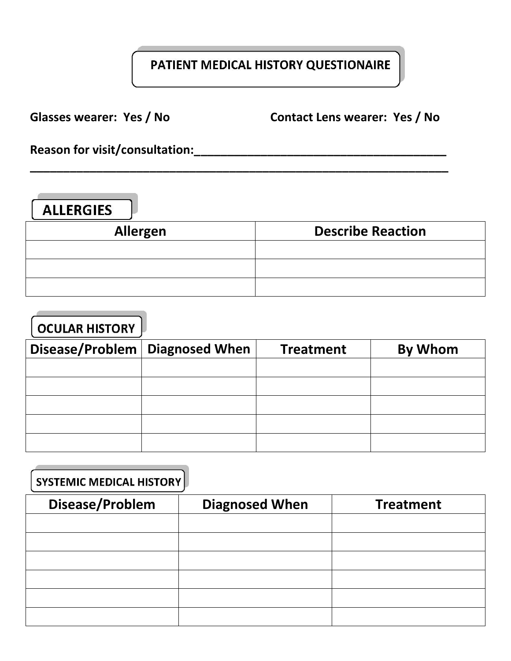### PATIENT MEDICAL HISTORY QUESTIONAIRE

**Glasses wearer: Yes / No Contact Lens wearer: Yes / No** 

**Reason for visit/consultation:\_\_\_\_\_\_\_\_\_\_\_\_\_\_\_\_\_\_\_\_\_\_\_\_\_\_\_\_\_\_\_\_\_\_\_\_\_\_** 

| <b>ALLERGIES</b> |  |
|------------------|--|
|                  |  |

| Allergen | <b>Describe Reaction</b> |
|----------|--------------------------|
|          |                          |
|          |                          |
|          |                          |

**\_\_\_\_\_\_\_\_\_\_\_\_\_\_\_\_\_\_\_\_\_\_\_\_\_\_\_\_\_\_\_\_\_\_\_\_\_\_\_\_\_\_\_\_\_\_\_\_\_\_\_\_\_\_\_\_\_\_\_\_\_\_\_**

| <b>OCULAR HISTORY</b>            |                  |         |
|----------------------------------|------------------|---------|
| Disease/Problem   Diagnosed When | <b>Treatment</b> | By Whom |
|                                  |                  |         |
|                                  |                  |         |
|                                  |                  |         |
|                                  |                  |         |
|                                  |                  |         |

| <b>SYSTEMIC MEDICAL HISTORY</b> |                       |                  |
|---------------------------------|-----------------------|------------------|
| Disease/Problem                 | <b>Diagnosed When</b> | <b>Treatment</b> |
|                                 |                       |                  |
|                                 |                       |                  |
|                                 |                       |                  |
|                                 |                       |                  |
|                                 |                       |                  |
|                                 |                       |                  |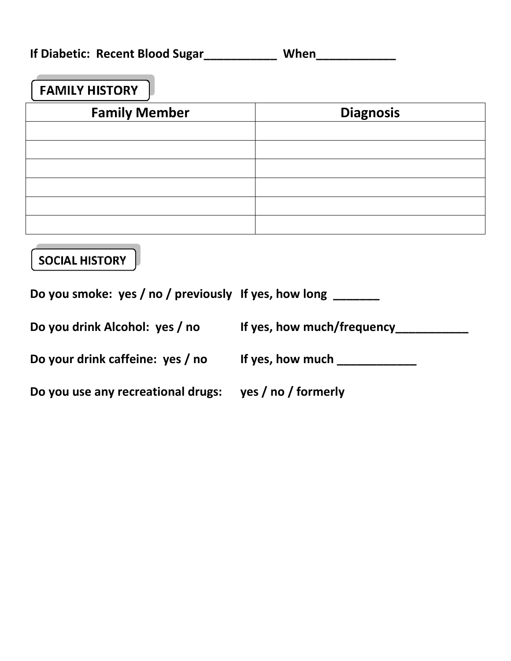**If Diabetic: Recent Blood Sugar\_\_\_\_\_\_\_\_\_\_\_ When\_\_\_\_\_\_\_\_\_\_\_\_** 

# **FAMILY HISTORY**

| <b>Family Member</b> | <b>Diagnosis</b> |
|----------------------|------------------|
|                      |                  |
|                      |                  |
|                      |                  |
|                      |                  |
|                      |                  |
|                      |                  |

## **SOCIAL HISTORY**

**Do you smoke: yes / no / previously If yes, how long \_\_\_\_\_\_\_** 

**Do you drink Alcohol: yes / no If yes, how much/frequency\_\_\_\_\_\_\_\_\_\_\_** 

**Do your drink caffeine: yes / no If yes, how much \_\_\_\_\_\_\_\_\_\_\_\_** 

**Do you use any recreational drugs: yes / no / formerly**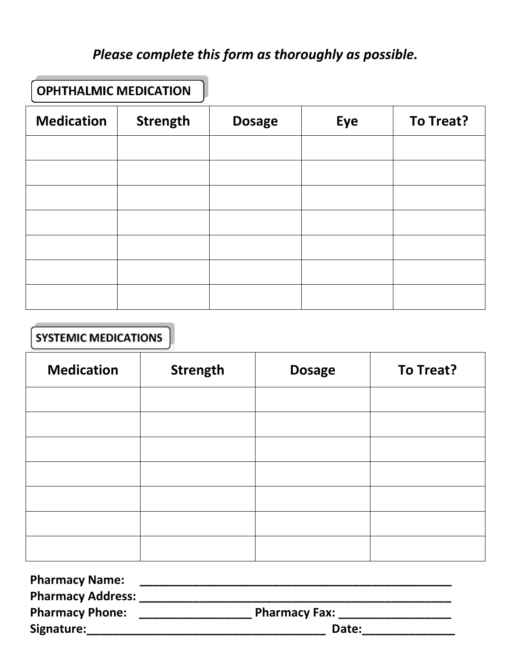# *Please complete this form as thoroughly as possible.*

### **OPHTHALMIC MEDICATION**

| <b>Medication</b> | <b>Strength</b> | <b>Dosage</b> | Eye | To Treat? |
|-------------------|-----------------|---------------|-----|-----------|
|                   |                 |               |     |           |
|                   |                 |               |     |           |
|                   |                 |               |     |           |
|                   |                 |               |     |           |
|                   |                 |               |     |           |
|                   |                 |               |     |           |
|                   |                 |               |     |           |

#### **SYSTEMIC MEDICATIONS**

| <b>Medication</b> | Strength | <b>Dosage</b> | To Treat? |
|-------------------|----------|---------------|-----------|
|                   |          |               |           |
|                   |          |               |           |
|                   |          |               |           |
|                   |          |               |           |
|                   |          |               |           |
|                   |          |               |           |
|                   |          |               |           |

| <b>Pharmacy Name:</b>    |                      |
|--------------------------|----------------------|
| <b>Pharmacy Address:</b> |                      |
| <b>Pharmacy Phone:</b>   | <b>Pharmacy Fax:</b> |
| Signature:               | Date:                |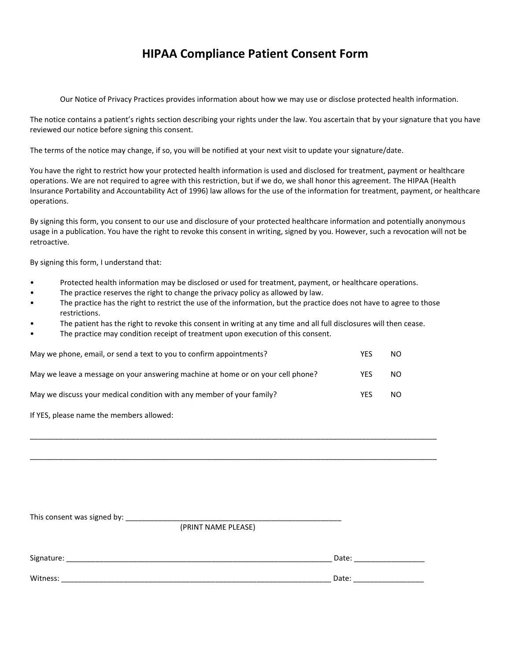#### **HIPAA Compliance Patient Consent Form**

Our Notice of Privacy Practices provides information about how we may use or disclose protected health information.

The notice contains a patient's rights section describing your rights under the law. You ascertain that by your signature that you have reviewed our notice before signing this consent.

The terms of the notice may change, if so, you will be notified at your next visit to update your signature/date.

You have the right to restrict how your protected health information is used and disclosed for treatment, payment or healthcare operations. We are not required to agree with this restriction, but if we do, we shall honor this agreement. The HIPAA (Health Insurance Portability and Accountability Act of 1996) law allows for the use of the information for treatment, payment, or healthcare operations.

By signing this form, you consent to our use and disclosure of your protected healthcare information and potentially anonymous usage in a publication. You have the right to revoke this consent in writing, signed by you. However, such a revocation will not be retroactive.

By signing this form, I understand that:

- Protected health information may be disclosed or used for treatment, payment, or healthcare operations.
- The practice reserves the right to change the privacy policy as allowed by law.
- The practice has the right to restrict the use of the information, but the practice does not have to agree to those restrictions.

\_\_\_\_\_\_\_\_\_\_\_\_\_\_\_\_\_\_\_\_\_\_\_\_\_\_\_\_\_\_\_\_\_\_\_\_\_\_\_\_\_\_\_\_\_\_\_\_\_\_\_\_\_\_\_\_\_\_\_\_\_\_\_\_\_\_\_\_\_\_\_\_\_\_\_\_\_\_\_\_\_\_\_\_\_\_\_\_\_\_\_\_\_\_\_\_\_\_

\_\_\_\_\_\_\_\_\_\_\_\_\_\_\_\_\_\_\_\_\_\_\_\_\_\_\_\_\_\_\_\_\_\_\_\_\_\_\_\_\_\_\_\_\_\_\_\_\_\_\_\_\_\_\_\_\_\_\_\_\_\_\_\_\_\_\_\_\_\_\_\_\_\_\_\_\_\_\_\_\_\_\_\_\_\_\_\_\_\_\_\_\_\_\_\_\_\_

- The patient has the right to revoke this consent in writing at any time and all full disclosures will then cease.
- The practice may condition receipt of treatment upon execution of this consent.

| May we phone, email, or send a text to you to confirm appointments?             | YES | NO |
|---------------------------------------------------------------------------------|-----|----|
| May we leave a message on your answering machine at home or on your cell phone? | YES | NO |
| May we discuss your medical condition with any member of your family?           | YFS | NO |

If YES, please name the members allowed:

| This consent was signed by: |                     |       |
|-----------------------------|---------------------|-------|
|                             | (PRINT NAME PLEASE) |       |
|                             |                     |       |
| Signature:                  |                     | Date: |
| Witness:                    |                     | Date: |